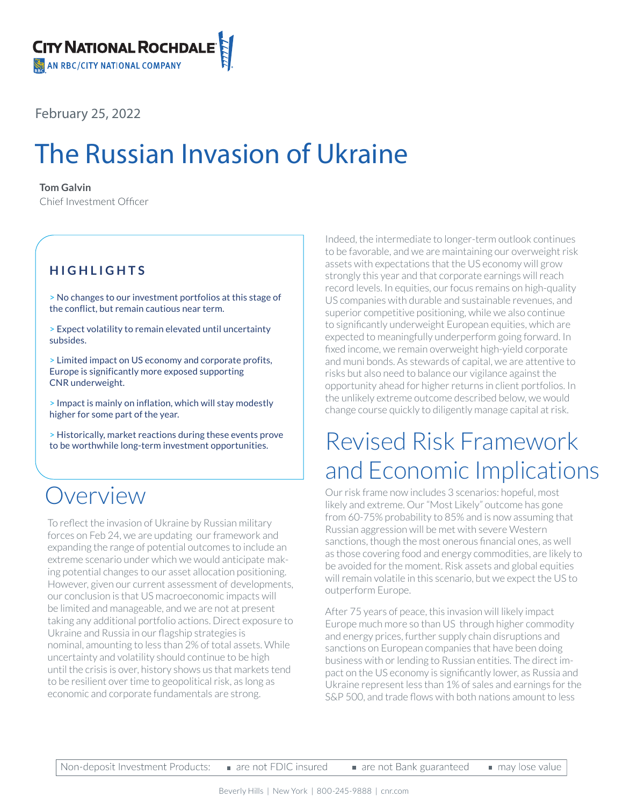February 25, 2022

# The Russian Invasion of Ukraine

### **Tom Galvin**

Chief Investment Officer

### **HIGHLIGHTS**

> No changes to our investment portfolios at this stage of the conflict, but remain cautious near term.

> Expect volatility to remain elevated until uncertainty subsides.

> Limited impact on US economy and corporate profits, Europe is significantly more exposed supporting CNR underweight.

> Impact is mainly on inflation, which will stay modestly higher for some part of the year.

> Historically, market reactions during these events prove to be worthwhile long-term investment opportunities.

### Overview

To reflect the invasion of Ukraine by Russian military forces on Feb 24, we are updating our framework and expanding the range of potential outcomes to include an extreme scenario under which we would anticipate making potential changes to our asset allocation positioning. However, given our current assessment of developments, our conclusion is that US macroeconomic impacts will be limited and manageable, and we are not at present taking any additional portfolio actions. Direct exposure to Ukraine and Russia in our flagship strategies is nominal, amounting to less than 2% of total assets. While uncertainty and volatility should continue to be high until the crisis is over, history shows us that markets tend to be resilient over time to geopolitical risk, as long as economic and corporate fundamentals are strong.

Indeed, the intermediate to longer-term outlook continues to be favorable, and we are maintaining our overweight risk assets with expectations that the US economy will grow strongly this year and that corporate earnings will reach record levels. In equities, our focus remains on high-quality US companies with durable and sustainable revenues, and superior competitive positioning, while we also continue to significantly underweight European equities, which are expected to meaningfully underperform going forward. In fixed income, we remain overweight high-yield corporate and muni bonds. As stewards of capital, we are attentive to risks but also need to balance our vigilance against the opportunity ahead for higher returns in client portfolios. In the unlikely extreme outcome described below, we would change course quickly to diligently manage capital at risk.

## Revised Risk Framework and Economic Implications

Our risk frame now includes 3 scenarios: hopeful, most likely and extreme. Our "Most Likely" outcome has gone from 60-75% probability to 85% and is now assuming that Russian aggression will be met with severe Western sanctions, though the most onerous financial ones, as well as those covering food and energy commodities, are likely to be avoided for the moment. Risk assets and global equities will remain volatile in this scenario, but we expect the US to outperform Europe.

After 75 years of peace, this invasion will likely impact Europe much more so than US through higher commodity and energy prices, further supply chain disruptions and sanctions on European companies that have been doing business with or lending to Russian entities. The direct impact on the US economy is significantly lower, as Russia and Ukraine represent less than 1% of sales and earnings for the S&P 500, and trade flows with both nations amount to less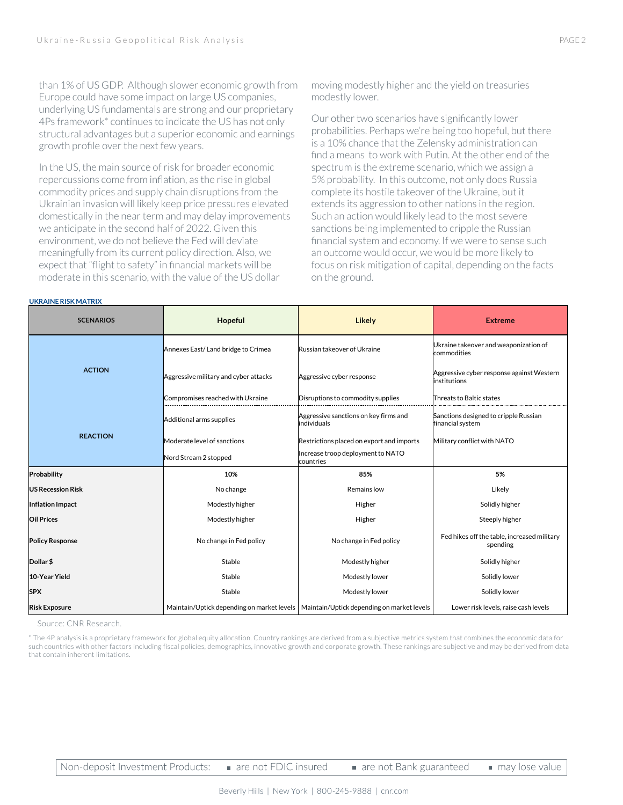than 1% of US GDP. Although slower economic growth from Europe could have some impact on large US companies, underlying US fundamentals are strong and our proprietary 4Ps framework\* continues to indicate the US has not only structural advantages but a superior economic and earnings growth profile over the next few years.

In the US, the main source of risk for broader economic repercussions come from inflation, as the rise in global commodity prices and supply chain disruptions from the Ukrainian invasion will likely keep price pressures elevated domestically in the near term and may delay improvements we anticipate in the second half of 2022. Given this environment, we do not believe the Fed will deviate meaningfully from its current policy direction. Also, we expect that "flight to safety" in financial markets will be moderate in this scenario, with the value of the US dollar

moving modestly higher and the yield on treasuries modestly lower.

Our other two scenarios have significantly lower probabilities. Perhaps we're being too hopeful, but there is a 10% chance that the Zelensky administration can find a means to work with Putin. At the other end of the spectrum is the extreme scenario, which we assign a 5% probability. In this outcome, not only does Russia complete its hostile takeover of the Ukraine, but it extends its aggression to other nations in the region. Such an action would likely lead to the most severe sanctions being implemented to cripple the Russian financial system and economy. If we were to sense such an outcome would occur, we would be more likely to focus on risk mitigation of capital, depending on the facts on the ground.

| <b>SCENARIOS</b>         | Hopeful                               | Likely                                                                                  | <b>Extreme</b>                                             |
|--------------------------|---------------------------------------|-----------------------------------------------------------------------------------------|------------------------------------------------------------|
| <b>ACTION</b>            | Annexes East/Land bridge to Crimea    | Russian takeover of Ukraine                                                             | Ukraine takeover and weaponization of<br>commodities       |
|                          | Aggressive military and cyber attacks | Aggressive cyber response                                                               | Aggressive cyber response against Western<br>linstitutions |
|                          | Compromises reached with Ukraine      | Disruptions to commodity supplies                                                       | Threats to Baltic states                                   |
| <b>REACTION</b>          | Additional arms supplies              | Aggressive sanctions on key firms and<br>individuals                                    | Sanctions designed to cripple Russian<br>financial system  |
|                          | Moderate level of sanctions           | Restrictions placed on export and imports                                               | Military conflict with NATO                                |
|                          | Nord Stream 2 stopped                 | Increase troop deployment to NATO<br>countries                                          |                                                            |
| Probability              | 10%                                   | 85%                                                                                     | 5%                                                         |
| <b>US Recession Risk</b> | No change                             | Remains low                                                                             | Likely                                                     |
| Inflation Impact         | Modestly higher                       | Higher                                                                                  | Solidly higher                                             |
| <b>Oil Prices</b>        | Modestly higher                       | Higher                                                                                  | Steeply higher                                             |
| <b>Policy Response</b>   | No change in Fed policy               | No change in Fed policy                                                                 | Fed hikes off the table, increased military<br>spending    |
| Dollar \$                | Stable                                | Modestly higher                                                                         | Solidly higher                                             |
| 10-Year Yield            | Stable                                | Modestly lower                                                                          | Solidly lower                                              |
| <b>SPX</b>               | Stable                                | Modestly lower                                                                          | Solidly lower                                              |
| <b>Risk Exposure</b>     |                                       | Maintain/Uptick depending on market levels   Maintain/Uptick depending on market levels | Lower risk levels, raise cash levels                       |

Source: CNR Research.

**UKRAINE RISK MATRIX**

\* The 4P analysis is a proprietary framework for global equity allocation. Country rankings are derived from a subjective metrics system that combines the economic data for such countries with other factors including fiscal policies, demographics, innovative growth and corporate growth. These rankings are subjective and may be derived from data that contain inherent limitations.

Non-deposit Investment Products: are not FDIC insured

may lose value

are not Bank guaranteed